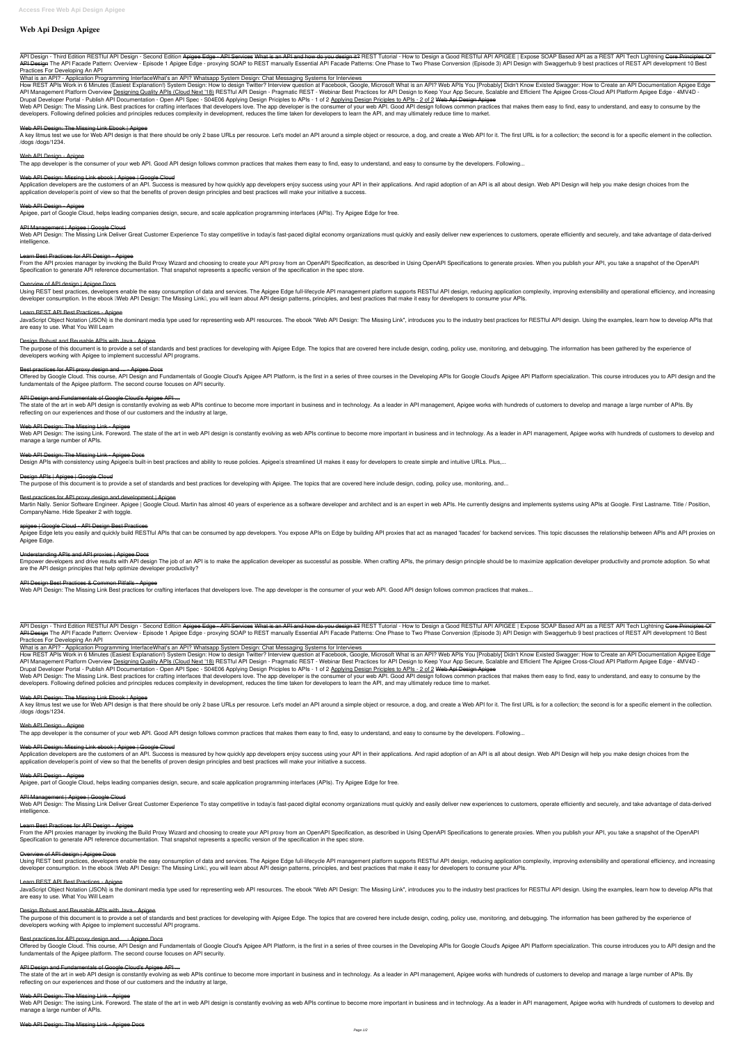# **Web Api Design Apigee**

API Design - Third Edition RESTful API Design - Second Edition Apigee Edge - API Services What is an API and how do you design it? REST Tutorial - How to Design a Good RESTful API APIGEE | Expose SOAP Based API as a REST A API Design The API Facade Pattern: Overview - Episode 1 Apigee Edge - proxying SOAP to REST manually Essential API Facade Patterns: One Phase to Two Phase Conversion (Episode 3) API Design with Swaggerhub 9 best practices *Practices For Developing An API*

What is an API? - Application Programming Interface*What's an API?* **Whatsapp System Design: Chat Messaging Systems for Interviews**

How REST APIs Work in 6 Minutes (Easiest Explanation!) System Design: How to design Twitter? Interview question at Facebook, Google, Microsoft What is an API? Web APIs You [Probably] Didn't Know Existed Swagger: How to Cre API Management Platform Overview Designing Quality APIs (Cloud Next '18) RESTful API Design - Pragmatic REST - Webinar Best Practices for API Design to Keep Your App Secure, Scalable and Efficient The Apigee Cross-Cloud AP *Drupal Developer Portal - Publish API Documentation - Open API Spec - S04E06 Applying Design Priciples to APIs - 1 of 2* Applying Design Priciples to APIs - 2 of 2 Web Api Design Apigee

Web API Design: The Missing Link. Best practices for crafting interfaces that developers love. The app developer is the consumer of your web API. Good API design follows common practices that makes them easy to find, easy developers. Following defined policies and principles reduces complexity in development, reduces the time taken for developers to learn the API, and may ultimately reduce time to market.

## Web API Design: The Missing Link Ebook | Apigee

A key litmus test we use for Web API design is that there should be only 2 base URLs per resource. Let's model an API around a simple object or resource, a dog, and create a Web API for it. The first URL is for a collectio /dogs /dogs/1234.

Web API Design: The Missing Link Deliver Great Customer Experience To stay competitive in todaylls fast-paced digital economy organizations must quickly and easily deliver new experiences to customers, operate efficiently intelligence.

## Web API Design - Apigee

The app developer is the consumer of your web API. Good API design follows common practices that makes them easy to find, easy to understand, and easy to consume by the developers. Following...

JavaScript Object Notation (JSON) is the dominant media type used for representing web API resources. The ebook "Web API Design: The Missing Link", introduces you to the industry best practices for RESTful API design. Usin are easy to use. What You Will Learn

## Web API Design: Missing Link ebook | Apigee | Google Cloud

Application developers are the customers of an API. Success is measured by how quickly app developers enjoy success using your API in their applications. And rapid adoption of an API is all about design. Web API Design wil application developer is point of view so that the benefits of proven design principles and best practices will make your initiative a success.

## Web API Design - Apigee

The purpose of this document is to provide a set of standards and best practices for developing with Apigee Edge. The topics that are covered here include design, coding, policy use, monitoring, and debugging. The informat developers working with Apigee to implement successful API programs.

Offered by Google Cloud. This course, API Design and Fundamentals of Google Cloud's Apigee API Platform, is the first in a series of three courses in the Developing APIs for Google Cloud's Apigee API Platform specializatio fundamentals of the Apigee platform. The second course focuses on API security.

The state of the art in web API design is constantly evolving as web APIs continue to become more important in business and in technology. As a leader in API management, Apigee works with hundreds of customers to develop a reflecting on our experiences and those of our customers and the industry at large,

Apigee, part of Google Cloud, helps leading companies design, secure, and scale application programming interfaces (APIs). Try Apigee Edge for free.

## API Management | Apigee | Google Cloud

Web API Design: The issing Link. Foreword. The state of the art in web API design is constantly evolving as web APIs continue to become more important in business and in technology. As a leader in API management, Apigee wo manage a large number of APIs.

## Web API Design: The Missing Link - Apigee Docs

Design APIs with consistency using Apigeells built-in best practices and ability to reuse policies. Apigeells streamlined UI makes it easy for developers to create simple and intuitive URLs. Plus,...

#### Learn Best Practices for API Design - Apigee

From the API proxies manager by invoking the Build Proxy Wizard and choosing to create your API proxy from an OpenAPI Specification, as described in Using OpenAPI Specifications to generate proxies. When you publish your A Specification to generate API reference documentation. That snapshot represents a specific version of the specification in the spec store.

Martin Nally. Senior Software Engineer. Apigee | Google Cloud. Martin has almost 40 years of experience as a software developer and architect and is an expert in web APIs. He currently designs and implements systems using CompanyName. Hide Speaker 2 with toggle.

Apigee Edge lets you easily and quickly build RESTful APIs that can be consumed by app developers. You expose APIs on Edge by building API proxies that act as managed 'facades' for backend services. This topic discusses th Apigee Edge.

## Overview of API design | Apigee Docs

Using REST best practices, developers enable the easy consumption of data and services. The Apigee Edge full-lifecycle API management platform supports RESTful API design, reducing application complexity, improving extensi developer consumption. In the ebook IWeb API Design: The Missing LinkI, you will learn about API design patterns, principles, and best practices that make it easy for developers to consume your APIs.

Empower developers and drive results with API design The job of an API is to make the application developer as successful as possible. When crafting APIs, the primary design principle should be to maximize application deve are the API design principles that help optimize developer productivity?

API Design - Third Edition RESTful API Design - Second Edition Apigee Edge - API Services What is an API and how do you design it? REST Tutorial - How to Design a Good RESTful API APIGEE | Expose SOAP Based API as a REST A API Design The API Facade Pattern: Overview - Episode 1 Apigee Edge - proxying SOAP to REST manually Essential API Facade Patterns: One Phase to Two Phase Conversion (Episode 3) API Design with Swaggerhub 9 best practices *Practices For Developing An API*

## Learn REST API Best Practices - Apigee

How REST APIs Work in 6 Minutes (Easiest Explanation!) System Design: How to design Twitter? Interview question at Facebook, Google, Microsoft What is an API? Web APIs You [Probably] Didn't Know Existed Swagger: How to Cre API Management Platform Overview Designing Quality APIs (Cloud Next '18) RESTful API Design - Pragmatic REST - Webinar Best Practices for API Design to Keep Your App Secure, Scalable and Efficient The Apigee Cross-Cloud AP *Drupal Developer Portal - Publish API Documentation - Open API Spec - S04E06 Applying Design Priciples to APIs - 1 of 2* Applying Design Priciples to APIs - 2 of 2 Web Api Design Apigee

#### Design Robust and Reusable APIs with Java - Apigee

Web API Design: The Missing Link. Best practices for crafting interfaces that developers love. The app developer is the consumer of your web API. Good API design follows common practices that makes them easy to find, easy developers. Following defined policies and principles reduces complexity in development, reduces the time taken for developers to learn the API, and may ultimately reduce time to market.

#### Web API Design: The Missing Link Ebook | Apigee

#### Best practices for API proxy design and ... - Apigee Docs

A key litmus test we use for Web API design is that there should be only 2 base URLs per resource. Let's model an API around a simple object or resource, a dog, and create a Web API for it. The first URL is for a collectio /dogs /dogs/1234.

#### API Design and Fundamentals of Google Cloud's Apigee API ...

Web API Design: The Missing Link Deliver Great Customer Experience To stay competitive in todaylls fast-paced digital economy organizations must quickly and easily deliver new experiences to customers, operate efficiently intelligence.

#### Web API Design: The Missing Link - Apigee

From the API proxies manager by invoking the Build Proxy Wizard and choosing to create your API proxy from an OpenAPI Specification, as described in Using OpenAPI Specifications to generate proxies. When you publish your A Specification to generate API reference documentation. That snapshot represents a specific version of the specification in the spec store.

JavaScript Object Notation (JSON) is the dominant media type used for representing web API resources. The ebook "Web API Design: The Missing Link", introduces you to the industry best practices for RESTful API design. Usin are easy to use. What You Will Learn

#### Design APIs | Apigee | Google Cloud

The purpose of this document is to provide a set of standards and best practices for developing with Apigee. The topics that are covered here include design, coding, policy use, monitoring, and...

The purpose of this document is to provide a set of standards and best practices for developing with Apigee Edge. The topics that are covered here include design, coding, policy use, monitoring, and debugging. The informat developers working with Apigee to implement successful API programs.

#### Best practices for API proxy design and development | Apigee

Offered by Google Cloud. This course, API Design and Fundamentals of Google Cloud's Apigee API Platform, is the first in a series of three courses in the Developing APIs for Google Cloud's Apigee API Platform specializatio fundamentals of the Apigee platform. The second course focuses on API security.

The state of the art in web API design is constantly evolving as web APIs continue to become more important in business and in technology. As a leader in API management, Apigee works with hundreds of customers to develop a reflecting on our experiences and those of our customers and the industry at large,

#### apigee | Google Cloud - API Design Best Practices

Web API Design: The issing Link. Foreword. The state of the art in web API design is constantly evolving as web APIs continue to become more important in business and in technology. As a leader in API management, Apigee wo manage a large number of APIs.

#### Understanding APIs and API proxies | Apigee Docs

#### API Design Best Practices & Common Pitfalls - Apigee

Web API Design: The Missing Link Best practices for crafting interfaces that developers love. The app developer is the consumer of your web API. Good API design follows common practices that makes...

What is an API? - Application Programming Interface*What's an API?* **Whatsapp System Design: Chat Messaging Systems for Interviews**

#### Web API Design - Apigee

The app developer is the consumer of your web API. Good API design follows common practices that makes them easy to find, easy to understand, and easy to consume by the developers. Following...

#### Web API Design: Missing Link ebook | Apigee | Google Cloud

Application developers are the customers of an API. Success is measured by how quickly app developers enjoy success using your API in their applications. And rapid adoption of an API is all about design. Web API Design wil application developer is point of view so that the benefits of proven design principles and best practices will make your initiative a success.

## Web API Design - Apigee

Apigee, part of Google Cloud, helps leading companies design, secure, and scale application programming interfaces (APIs). Try Apigee Edge for free.

#### API Management | Apigee | Google Cloud

#### Learn Best Practices for API Design - Apigee

#### Overview of API design | Apigee Docs

Using REST best practices, developers enable the easy consumption of data and services. The Apigee Edge full-lifecycle API management platform supports RESTful API design, reducing application complexity, improving extensi developer consumption. In the ebook IWeb API Design: The Missing LinkI, you will learn about API design patterns, principles, and best practices that make it easy for developers to consume your APIs.

#### Learn REST API Best Practices - Apigee

#### Design Robust and Reusable APIs with Java - Apigee

#### Best practices for API proxy design and ... - Apigee Docs

#### API Design and Fundamentals of Google Cloud's Apigee API ...

#### Web API Design: The Missing Link - Apigee

#### Web API Design: The Missing Link - Apigee Docs